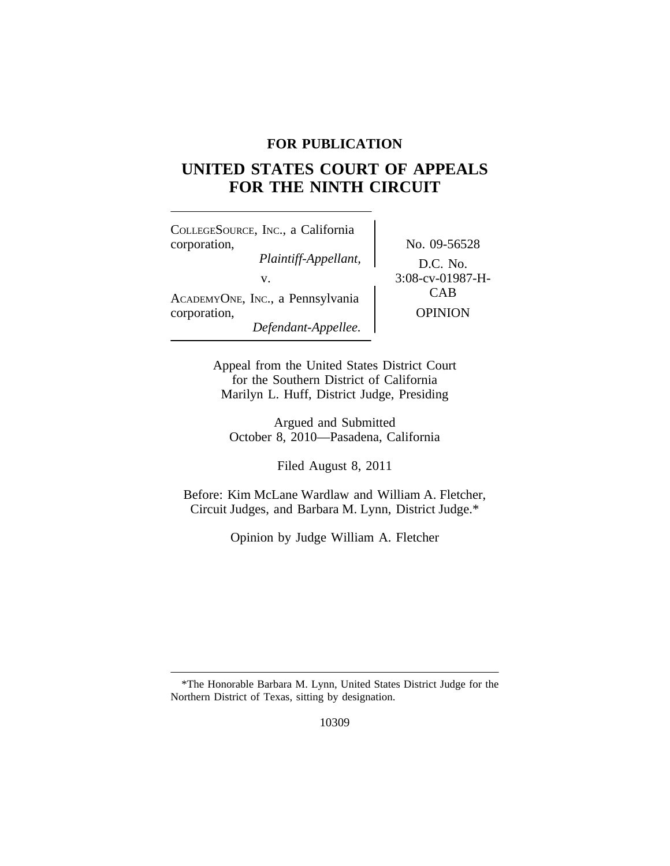## **FOR PUBLICATION**

# **UNITED STATES COURT OF APPEALS FOR THE NINTH CIRCUIT**

<sup>C</sup>OLLEGESOURCE, INC., a California corporation, No. 09-56528 *Plaintiff-Appellant,* D.C. No. v.  $3:08$ -cv-01987-H-<br>
CAB ACADEMYONE, INC., a Pennsylvania corporation, OPINION *Defendant-Appellee.*

Appeal from the United States District Court for the Southern District of California Marilyn L. Huff, District Judge, Presiding

Argued and Submitted October 8, 2010—Pasadena, California

Filed August 8, 2011

Before: Kim McLane Wardlaw and William A. Fletcher, Circuit Judges, and Barbara M. Lynn, District Judge.\*

Opinion by Judge William A. Fletcher

10309

<sup>\*</sup>The Honorable Barbara M. Lynn, United States District Judge for the Northern District of Texas, sitting by designation.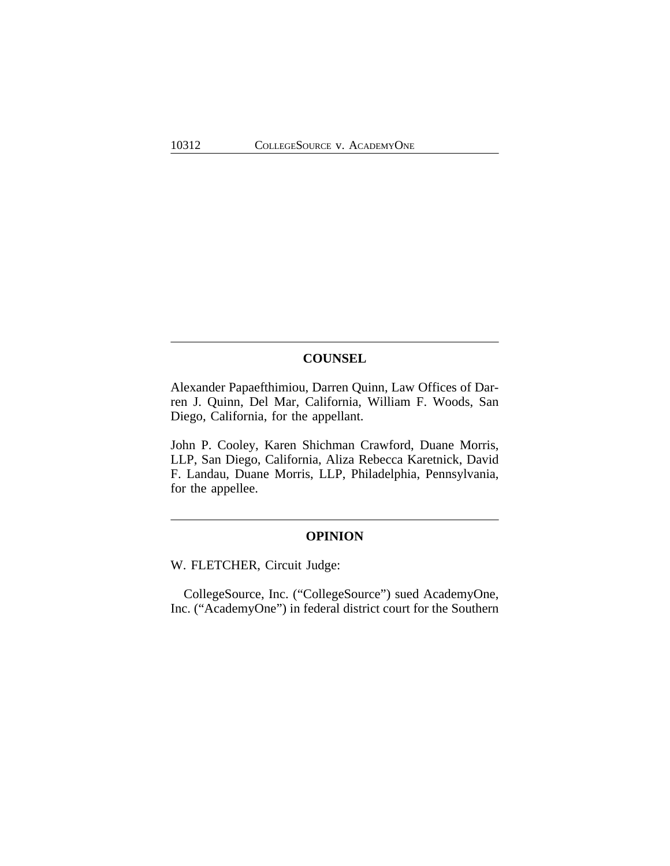## **COUNSEL**

Alexander Papaefthimiou, Darren Quinn, Law Offices of Darren J. Quinn, Del Mar, California, William F. Woods, San Diego, California, for the appellant.

John P. Cooley, Karen Shichman Crawford, Duane Morris, LLP, San Diego, California, Aliza Rebecca Karetnick, David F. Landau, Duane Morris, LLP, Philadelphia, Pennsylvania, for the appellee.

## **OPINION**

W. FLETCHER, Circuit Judge:

CollegeSource, Inc. ("CollegeSource") sued AcademyOne, Inc. ("AcademyOne") in federal district court for the Southern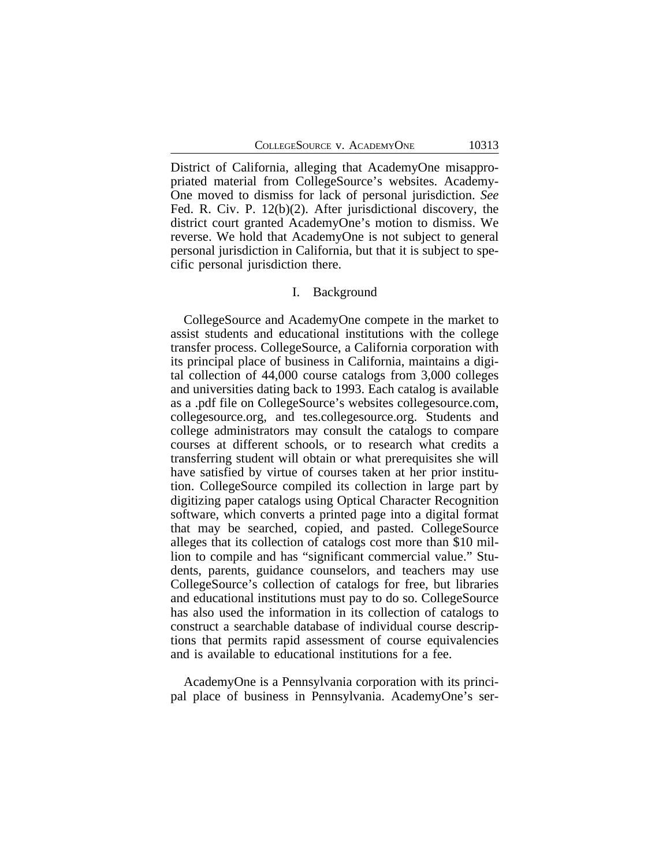District of California, alleging that AcademyOne misappropriated material from CollegeSource's websites. Academy-One moved to dismiss for lack of personal jurisdiction. *See* Fed. R. Civ. P. 12(b)(2). After jurisdictional discovery, the district court granted AcademyOne's motion to dismiss. We reverse. We hold that AcademyOne is not subject to general personal jurisdiction in California, but that it is subject to specific personal jurisdiction there.

## I. Background

CollegeSource and AcademyOne compete in the market to assist students and educational institutions with the college transfer process. CollegeSource, a California corporation with its principal place of business in California, maintains a digital collection of 44,000 course catalogs from 3,000 colleges and universities dating back to 1993. Each catalog is available as a .pdf file on CollegeSource's websites collegesource.com, collegesource.org, and tes.collegesource.org. Students and college administrators may consult the catalogs to compare courses at different schools, or to research what credits a transferring student will obtain or what prerequisites she will have satisfied by virtue of courses taken at her prior institution. CollegeSource compiled its collection in large part by digitizing paper catalogs using Optical Character Recognition software, which converts a printed page into a digital format that may be searched, copied, and pasted. CollegeSource alleges that its collection of catalogs cost more than \$10 million to compile and has "significant commercial value." Students, parents, guidance counselors, and teachers may use CollegeSource's collection of catalogs for free, but libraries and educational institutions must pay to do so. CollegeSource has also used the information in its collection of catalogs to construct a searchable database of individual course descriptions that permits rapid assessment of course equivalencies and is available to educational institutions for a fee.

AcademyOne is a Pennsylvania corporation with its principal place of business in Pennsylvania. AcademyOne's ser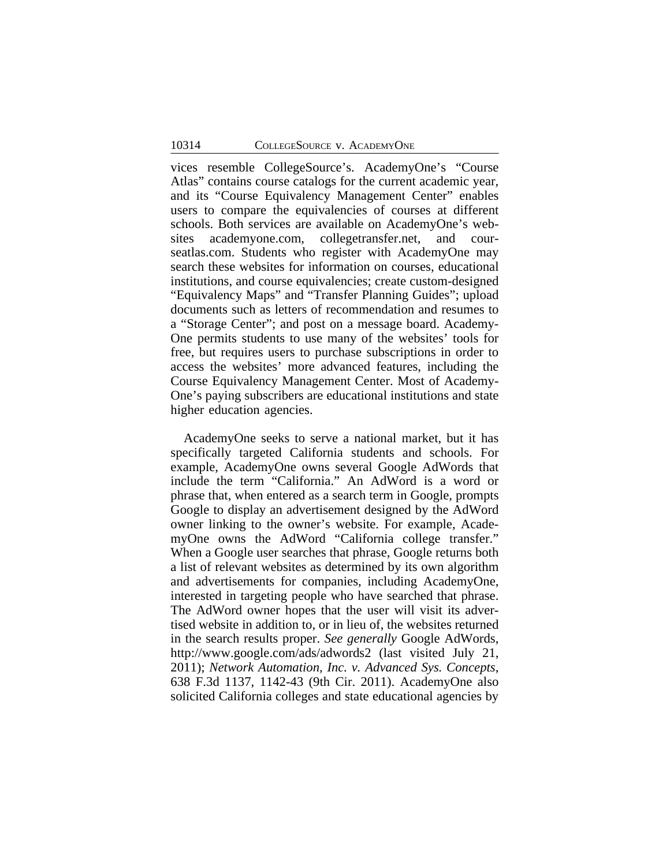vices resemble CollegeSource's. AcademyOne's "Course Atlas" contains course catalogs for the current academic year, and its "Course Equivalency Management Center" enables users to compare the equivalencies of courses at different schools. Both services are available on AcademyOne's websites academyone.com, collegetransfer.net, and courseatlas.com. Students who register with AcademyOne may search these websites for information on courses, educational institutions, and course equivalencies; create custom-designed "Equivalency Maps" and "Transfer Planning Guides"; upload documents such as letters of recommendation and resumes to a "Storage Center"; and post on a message board. Academy-One permits students to use many of the websites' tools for free, but requires users to purchase subscriptions in order to access the websites' more advanced features, including the Course Equivalency Management Center. Most of Academy-One's paying subscribers are educational institutions and state higher education agencies.

AcademyOne seeks to serve a national market, but it has specifically targeted California students and schools. For example, AcademyOne owns several Google AdWords that include the term "California." An AdWord is a word or phrase that, when entered as a search term in Google, prompts Google to display an advertisement designed by the AdWord owner linking to the owner's website. For example, AcademyOne owns the AdWord "California college transfer." When a Google user searches that phrase, Google returns both a list of relevant websites as determined by its own algorithm and advertisements for companies, including AcademyOne, interested in targeting people who have searched that phrase. The AdWord owner hopes that the user will visit its advertised website in addition to, or in lieu of, the websites returned in the search results proper. *See generally* Google AdWords, http://www.google.com/ads/adwords2 (last visited July 21, 2011); *Network Automation, Inc. v. Advanced Sys. Concepts*, 638 F.3d 1137, 1142-43 (9th Cir. 2011). AcademyOne also solicited California colleges and state educational agencies by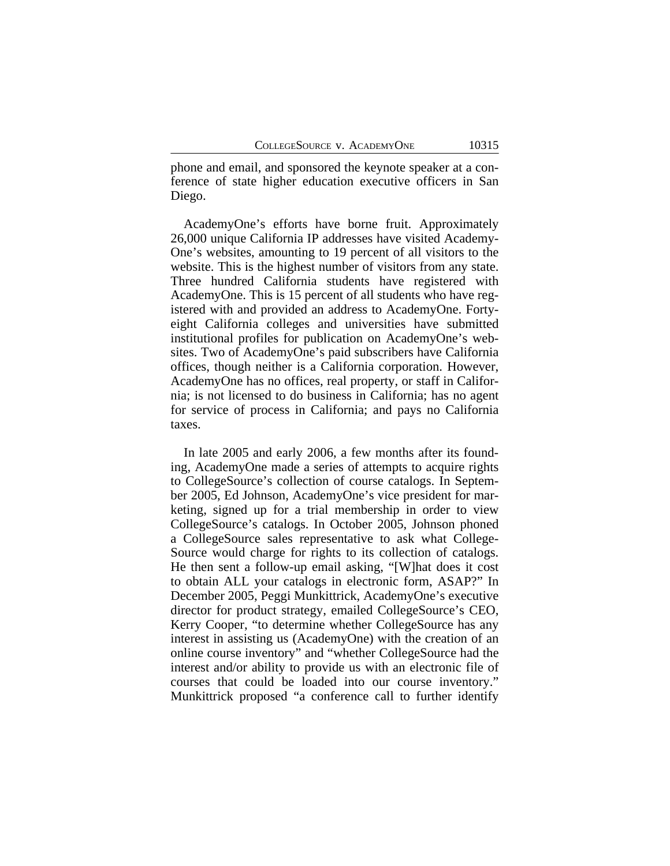phone and email, and sponsored the keynote speaker at a conference of state higher education executive officers in San Diego.

AcademyOne's efforts have borne fruit. Approximately 26,000 unique California IP addresses have visited Academy-One's websites, amounting to 19 percent of all visitors to the website. This is the highest number of visitors from any state. Three hundred California students have registered with AcademyOne. This is 15 percent of all students who have registered with and provided an address to AcademyOne. Fortyeight California colleges and universities have submitted institutional profiles for publication on AcademyOne's websites. Two of AcademyOne's paid subscribers have California offices, though neither is a California corporation. However, AcademyOne has no offices, real property, or staff in California; is not licensed to do business in California; has no agent for service of process in California; and pays no California taxes.

In late 2005 and early 2006, a few months after its founding, AcademyOne made a series of attempts to acquire rights to CollegeSource's collection of course catalogs. In September 2005, Ed Johnson, AcademyOne's vice president for marketing, signed up for a trial membership in order to view CollegeSource's catalogs. In October 2005, Johnson phoned a CollegeSource sales representative to ask what College-Source would charge for rights to its collection of catalogs. He then sent a follow-up email asking, "[W]hat does it cost to obtain ALL your catalogs in electronic form, ASAP?" In December 2005, Peggi Munkittrick, AcademyOne's executive director for product strategy, emailed CollegeSource's CEO, Kerry Cooper, "to determine whether CollegeSource has any interest in assisting us (AcademyOne) with the creation of an online course inventory" and "whether CollegeSource had the interest and/or ability to provide us with an electronic file of courses that could be loaded into our course inventory." Munkittrick proposed "a conference call to further identify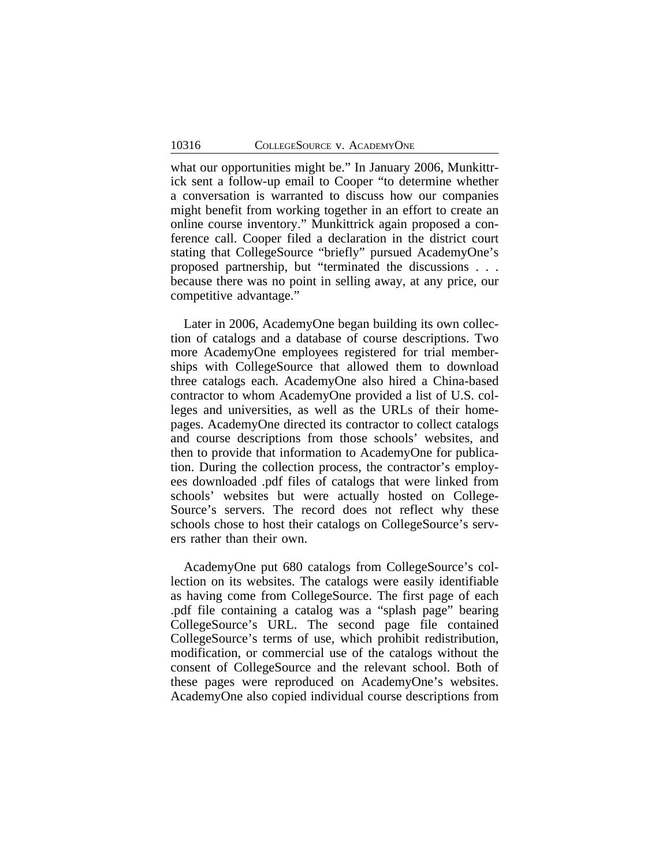what our opportunities might be." In January 2006, Munkittrick sent a follow-up email to Cooper "to determine whether a conversation is warranted to discuss how our companies might benefit from working together in an effort to create an online course inventory." Munkittrick again proposed a conference call. Cooper filed a declaration in the district court stating that CollegeSource "briefly" pursued AcademyOne's proposed partnership, but "terminated the discussions . . . because there was no point in selling away, at any price, our competitive advantage."

Later in 2006, AcademyOne began building its own collection of catalogs and a database of course descriptions. Two more AcademyOne employees registered for trial memberships with CollegeSource that allowed them to download three catalogs each. AcademyOne also hired a China-based contractor to whom AcademyOne provided a list of U.S. colleges and universities, as well as the URLs of their homepages. AcademyOne directed its contractor to collect catalogs and course descriptions from those schools' websites, and then to provide that information to AcademyOne for publication. During the collection process, the contractor's employees downloaded .pdf files of catalogs that were linked from schools' websites but were actually hosted on College-Source's servers. The record does not reflect why these schools chose to host their catalogs on CollegeSource's servers rather than their own.

AcademyOne put 680 catalogs from CollegeSource's collection on its websites. The catalogs were easily identifiable as having come from CollegeSource. The first page of each .pdf file containing a catalog was a "splash page" bearing CollegeSource's URL. The second page file contained CollegeSource's terms of use, which prohibit redistribution, modification, or commercial use of the catalogs without the consent of CollegeSource and the relevant school. Both of these pages were reproduced on AcademyOne's websites. AcademyOne also copied individual course descriptions from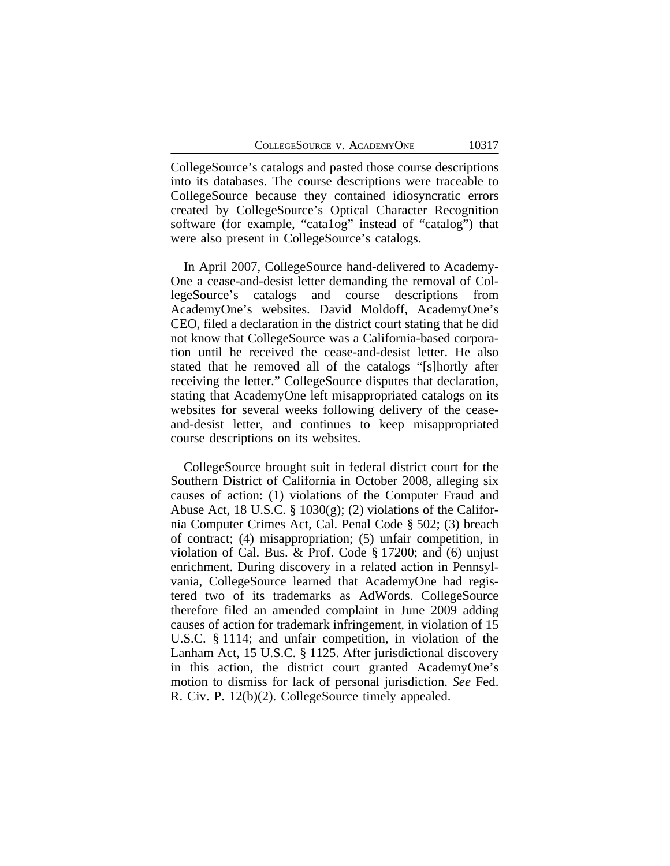CollegeSource's catalogs and pasted those course descriptions into its databases. The course descriptions were traceable to CollegeSource because they contained idiosyncratic errors created by CollegeSource's Optical Character Recognition software (for example, "cata1og" instead of "catalog") that were also present in CollegeSource's catalogs.

In April 2007, CollegeSource hand-delivered to Academy-One a cease-and-desist letter demanding the removal of CollegeSource's catalogs and course descriptions from AcademyOne's websites. David Moldoff, AcademyOne's CEO, filed a declaration in the district court stating that he did not know that CollegeSource was a California-based corporation until he received the cease-and-desist letter. He also stated that he removed all of the catalogs "[s]hortly after receiving the letter." CollegeSource disputes that declaration, stating that AcademyOne left misappropriated catalogs on its websites for several weeks following delivery of the ceaseand-desist letter, and continues to keep misappropriated course descriptions on its websites.

CollegeSource brought suit in federal district court for the Southern District of California in October 2008, alleging six causes of action: (1) violations of the Computer Fraud and Abuse Act, 18 U.S.C. § 1030 $(g)$ ; (2) violations of the California Computer Crimes Act, Cal. Penal Code § 502; (3) breach of contract; (4) misappropriation; (5) unfair competition, in violation of Cal. Bus. & Prof. Code § 17200; and (6) unjust enrichment. During discovery in a related action in Pennsylvania, CollegeSource learned that AcademyOne had registered two of its trademarks as AdWords. CollegeSource therefore filed an amended complaint in June 2009 adding causes of action for trademark infringement, in violation of 15 U.S.C. § 1114; and unfair competition, in violation of the Lanham Act, 15 U.S.C. § 1125. After jurisdictional discovery in this action, the district court granted AcademyOne's motion to dismiss for lack of personal jurisdiction. *See* Fed. R. Civ. P. 12(b)(2). CollegeSource timely appealed.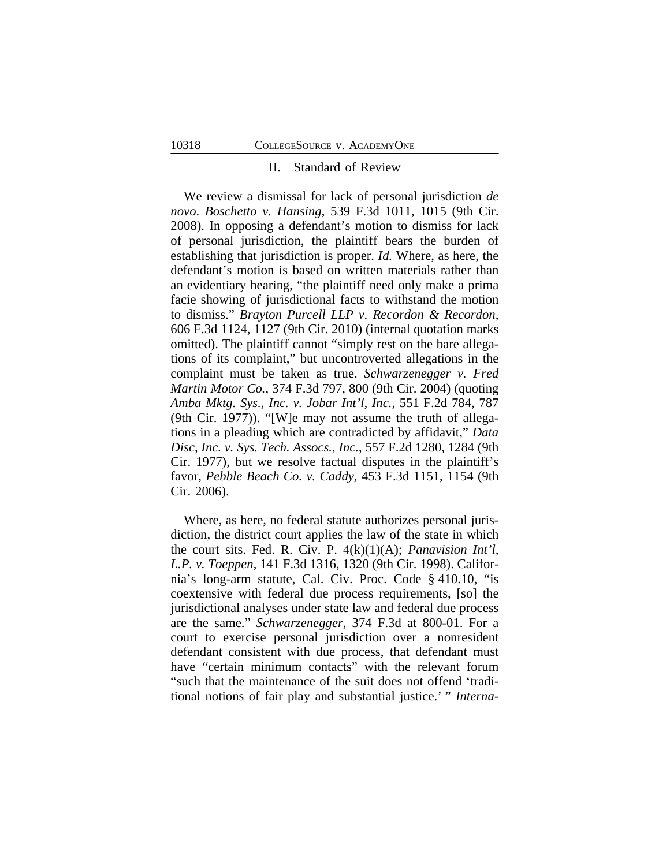#### II. Standard of Review

We review a dismissal for lack of personal jurisdiction *de novo*. *Boschetto v. Hansing*, 539 F.3d 1011, 1015 (9th Cir. 2008). In opposing a defendant's motion to dismiss for lack of personal jurisdiction, the plaintiff bears the burden of establishing that jurisdiction is proper. *Id.* Where, as here, the defendant's motion is based on written materials rather than an evidentiary hearing, "the plaintiff need only make a prima facie showing of jurisdictional facts to withstand the motion to dismiss." *Brayton Purcell LLP v. Recordon & Recordon*, 606 F.3d 1124, 1127 (9th Cir. 2010) (internal quotation marks omitted). The plaintiff cannot "simply rest on the bare allegations of its complaint," but uncontroverted allegations in the complaint must be taken as true. *Schwarzenegger v. Fred Martin Motor Co.*, 374 F.3d 797, 800 (9th Cir. 2004) (quoting *Amba Mktg. Sys., Inc. v. Jobar Int'l, Inc.*, 551 F.2d 784, 787 (9th Cir. 1977)). "[W]e may not assume the truth of allegations in a pleading which are contradicted by affidavit," *Data Disc, Inc. v. Sys. Tech. Assocs., Inc.*, 557 F.2d 1280, 1284 (9th Cir. 1977), but we resolve factual disputes in the plaintiff's favor, *Pebble Beach Co. v. Caddy*, 453 F.3d 1151, 1154 (9th Cir. 2006).

Where, as here, no federal statute authorizes personal jurisdiction, the district court applies the law of the state in which the court sits. Fed. R. Civ. P. 4(k)(1)(A); *Panavision Int'l, L.P. v. Toeppen*, 141 F.3d 1316, 1320 (9th Cir. 1998). California's long-arm statute, Cal. Civ. Proc. Code § 410.10, "is coextensive with federal due process requirements, [so] the jurisdictional analyses under state law and federal due process are the same." *Schwarzenegger*, 374 F.3d at 800-01. For a court to exercise personal jurisdiction over a nonresident defendant consistent with due process, that defendant must have "certain minimum contacts" with the relevant forum "such that the maintenance of the suit does not offend 'traditional notions of fair play and substantial justice.' " *Interna-*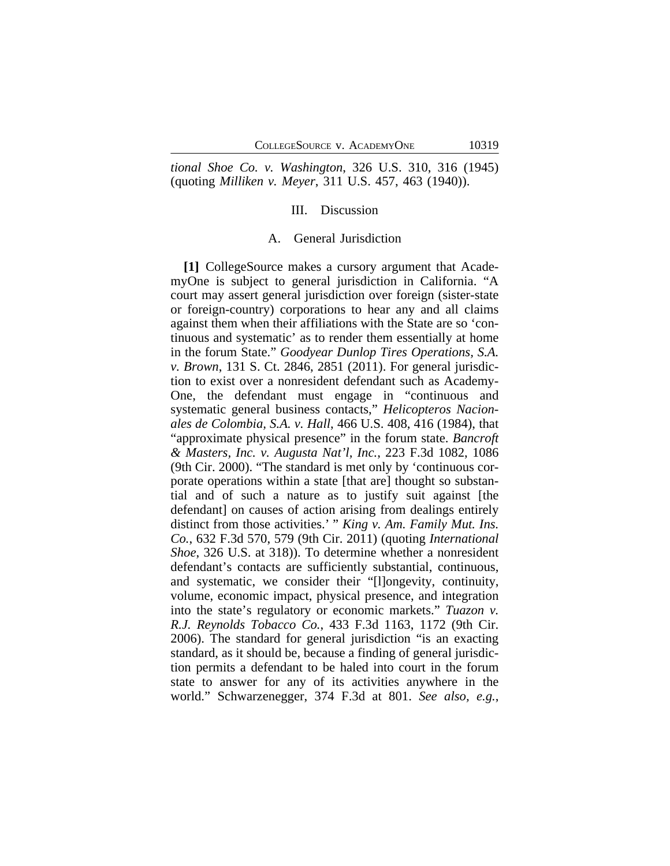*tional Shoe Co. v. Washington*, 326 U.S. 310, 316 (1945) (quoting *Milliken v. Meyer*, 311 U.S. 457, 463 (1940)).

## III. Discussion

#### A. General Jurisdiction

**[1]** CollegeSource makes a cursory argument that AcademyOne is subject to general jurisdiction in California. "A court may assert general jurisdiction over foreign (sister-state or foreign-country) corporations to hear any and all claims against them when their affiliations with the State are so 'continuous and systematic' as to render them essentially at home in the forum State." *Goodyear Dunlop Tires Operations, S.A. v. Brown*, 131 S. Ct. 2846, 2851 (2011). For general jurisdiction to exist over a nonresident defendant such as Academy-One, the defendant must engage in "continuous and systematic general business contacts," *Helicopteros Nacionales de Colombia, S.A. v. Hall*, 466 U.S. 408, 416 (1984), that "approximate physical presence" in the forum state. *Bancroft & Masters, Inc. v. Augusta Nat'l, Inc.*, 223 F.3d 1082, 1086 (9th Cir. 2000). "The standard is met only by 'continuous corporate operations within a state [that are] thought so substantial and of such a nature as to justify suit against [the defendant] on causes of action arising from dealings entirely distinct from those activities.' " *King v. Am. Family Mut. Ins. Co.*, 632 F.3d 570, 579 (9th Cir. 2011) (quoting *International Shoe*, 326 U.S. at 318)). To determine whether a nonresident defendant's contacts are sufficiently substantial, continuous, and systematic, we consider their "[l]ongevity, continuity, volume, economic impact, physical presence, and integration into the state's regulatory or economic markets." *Tuazon v. R.J. Reynolds Tobacco Co.*, 433 F.3d 1163, 1172 (9th Cir. 2006). The standard for general jurisdiction "is an exacting standard, as it should be, because a finding of general jurisdiction permits a defendant to be haled into court in the forum state to answer for any of its activities anywhere in the world." Schwarzenegger, 374 F.3d at 801. *See also, e.g.*,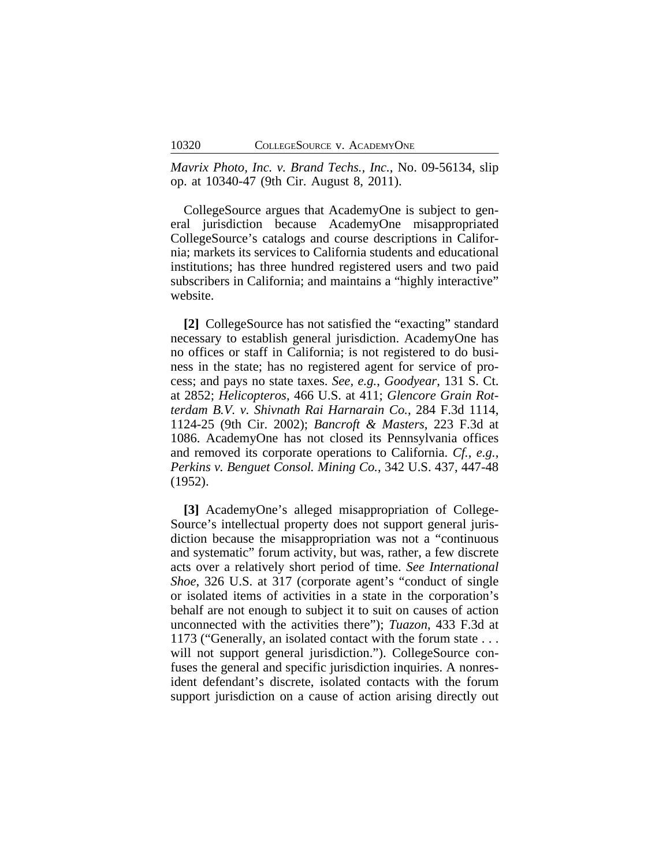*Mavrix Photo, Inc. v. Brand Techs., Inc.*, No. 09-56134, slip op. at 10340-47 (9th Cir. August 8, 2011).

CollegeSource argues that AcademyOne is subject to general jurisdiction because AcademyOne misappropriated CollegeSource's catalogs and course descriptions in California; markets its services to California students and educational institutions; has three hundred registered users and two paid subscribers in California; and maintains a "highly interactive" website.

**[2]** CollegeSource has not satisfied the "exacting" standard necessary to establish general jurisdiction. AcademyOne has no offices or staff in California; is not registered to do business in the state; has no registered agent for service of process; and pays no state taxes. *See, e.g.*, *Goodyear*, 131 S. Ct. at 2852; *Helicopteros*, 466 U.S. at 411; *Glencore Grain Rotterdam B.V. v. Shivnath Rai Harnarain Co.*, 284 F.3d 1114, 1124-25 (9th Cir. 2002); *Bancroft & Masters*, 223 F.3d at 1086. AcademyOne has not closed its Pennsylvania offices and removed its corporate operations to California. *Cf.*, *e.g.*, *Perkins v. Benguet Consol. Mining Co.*, 342 U.S. 437, 447-48 (1952).

**[3]** AcademyOne's alleged misappropriation of College-Source's intellectual property does not support general jurisdiction because the misappropriation was not a "continuous and systematic" forum activity, but was, rather, a few discrete acts over a relatively short period of time. *See International Shoe*, 326 U.S. at 317 (corporate agent's "conduct of single or isolated items of activities in a state in the corporation's behalf are not enough to subject it to suit on causes of action unconnected with the activities there"); *Tuazon*, 433 F.3d at 1173 ("Generally, an isolated contact with the forum state . . . will not support general jurisdiction."). CollegeSource confuses the general and specific jurisdiction inquiries. A nonresident defendant's discrete, isolated contacts with the forum support jurisdiction on a cause of action arising directly out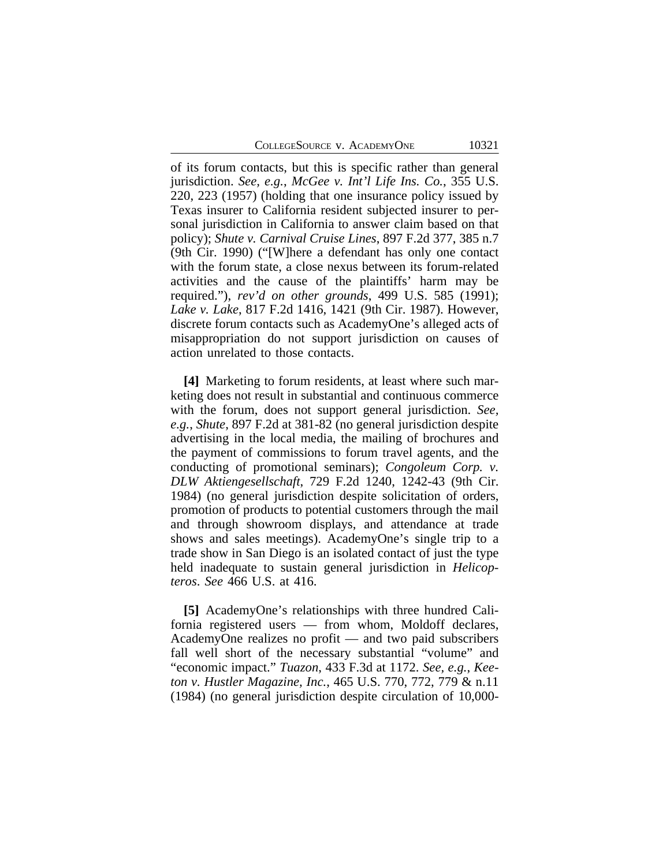COLLEGESOURCE V. ACADEMYONE 10321

of its forum contacts, but this is specific rather than general jurisdiction. *See, e.g.*, *McGee v. Int'l Life Ins. Co.*, 355 U.S. 220, 223 (1957) (holding that one insurance policy issued by Texas insurer to California resident subjected insurer to personal jurisdiction in California to answer claim based on that policy); *Shute v. Carnival Cruise Lines*, 897 F.2d 377, 385 n.7 (9th Cir. 1990) ("[W]here a defendant has only one contact with the forum state, a close nexus between its forum-related activities and the cause of the plaintiffs' harm may be required."), *rev'd on other grounds*, 499 U.S. 585 (1991); *Lake v. Lake*, 817 F.2d 1416, 1421 (9th Cir. 1987). However, discrete forum contacts such as AcademyOne's alleged acts of misappropriation do not support jurisdiction on causes of action unrelated to those contacts.

**[4]** Marketing to forum residents, at least where such marketing does not result in substantial and continuous commerce with the forum, does not support general jurisdiction. *See, e.g.*, *Shute*, 897 F.2d at 381-82 (no general jurisdiction despite advertising in the local media, the mailing of brochures and the payment of commissions to forum travel agents, and the conducting of promotional seminars); *Congoleum Corp. v. DLW Aktiengesellschaft*, 729 F.2d 1240, 1242-43 (9th Cir. 1984) (no general jurisdiction despite solicitation of orders, promotion of products to potential customers through the mail and through showroom displays, and attendance at trade shows and sales meetings). AcademyOne's single trip to a trade show in San Diego is an isolated contact of just the type held inadequate to sustain general jurisdiction in *Helicopteros*. *See* 466 U.S. at 416.

**[5]** AcademyOne's relationships with three hundred California registered users — from whom, Moldoff declares, AcademyOne realizes no profit — and two paid subscribers fall well short of the necessary substantial "volume" and "economic impact." *Tuazon*, 433 F.3d at 1172. *See, e.g.*, *Keeton v. Hustler Magazine, Inc.*, 465 U.S. 770, 772, 779 & n.11 (1984) (no general jurisdiction despite circulation of 10,000-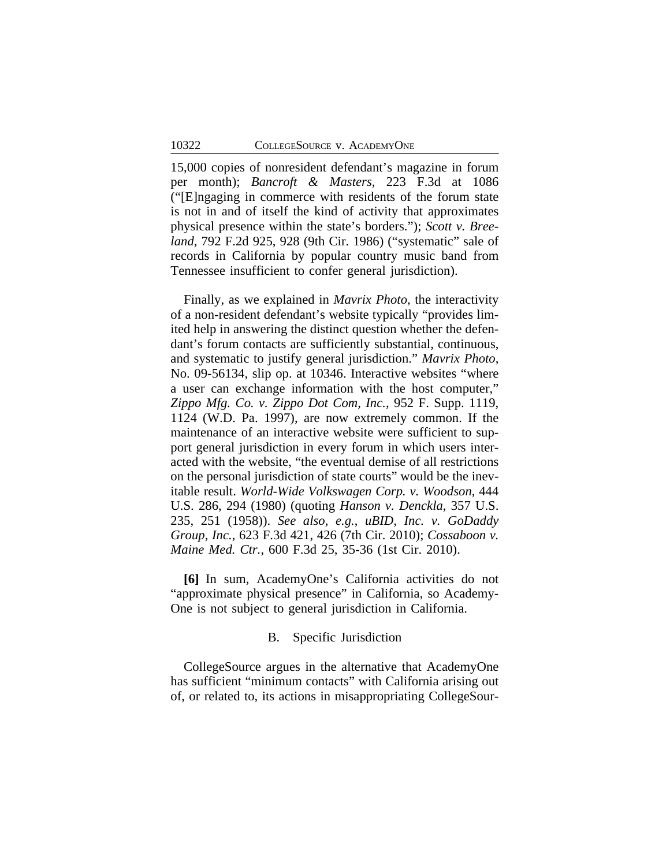15,000 copies of nonresident defendant's magazine in forum per month); *Bancroft & Masters*, 223 F.3d at 1086 ("[E]ngaging in commerce with residents of the forum state is not in and of itself the kind of activity that approximates physical presence within the state's borders."); *Scott v. Breeland*, 792 F.2d 925, 928 (9th Cir. 1986) ("systematic" sale of records in California by popular country music band from Tennessee insufficient to confer general jurisdiction).

Finally, as we explained in *Mavrix Photo*, the interactivity of a non-resident defendant's website typically "provides limited help in answering the distinct question whether the defendant's forum contacts are sufficiently substantial, continuous, and systematic to justify general jurisdiction." *Mavrix Photo*, No. 09-56134, slip op. at 10346. Interactive websites "where a user can exchange information with the host computer," *Zippo Mfg. Co. v. Zippo Dot Com, Inc.*, 952 F. Supp. 1119, 1124 (W.D. Pa. 1997), are now extremely common. If the maintenance of an interactive website were sufficient to support general jurisdiction in every forum in which users interacted with the website, "the eventual demise of all restrictions on the personal jurisdiction of state courts" would be the inevitable result. *World-Wide Volkswagen Corp. v. Woodson*, 444 U.S. 286, 294 (1980) (quoting *Hanson v. Denckla*, 357 U.S. 235, 251 (1958)). *See also, e.g.*, *uBID, Inc. v. GoDaddy Group, Inc.*, 623 F.3d 421, 426 (7th Cir. 2010); *Cossaboon v. Maine Med. Ctr.*, 600 F.3d 25, 35-36 (1st Cir. 2010).

**[6]** In sum, AcademyOne's California activities do not "approximate physical presence" in California, so Academy-One is not subject to general jurisdiction in California.

#### B. Specific Jurisdiction

CollegeSource argues in the alternative that AcademyOne has sufficient "minimum contacts" with California arising out of, or related to, its actions in misappropriating CollegeSour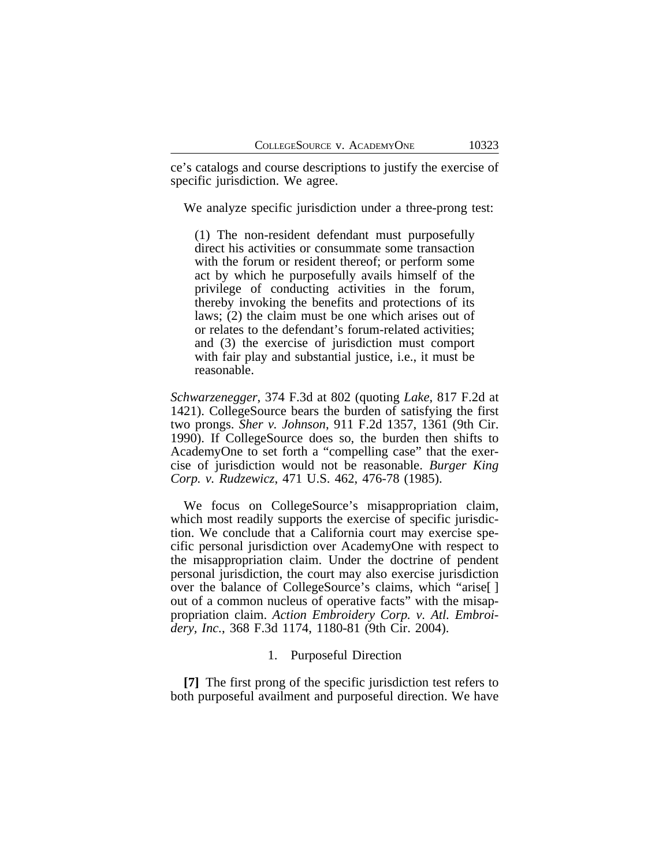ce's catalogs and course descriptions to justify the exercise of specific jurisdiction. We agree.

We analyze specific jurisdiction under a three-prong test:

(1) The non-resident defendant must purposefully direct his activities or consummate some transaction with the forum or resident thereof; or perform some act by which he purposefully avails himself of the privilege of conducting activities in the forum, thereby invoking the benefits and protections of its laws; (2) the claim must be one which arises out of or relates to the defendant's forum-related activities; and (3) the exercise of jurisdiction must comport with fair play and substantial justice, *i.e.*, it must be reasonable.

*Schwarzenegger*, 374 F.3d at 802 (quoting *Lake*, 817 F.2d at 1421). CollegeSource bears the burden of satisfying the first two prongs. *Sher v. Johnson*, 911 F.2d 1357, 1361 (9th Cir. 1990). If CollegeSource does so, the burden then shifts to AcademyOne to set forth a "compelling case" that the exercise of jurisdiction would not be reasonable. *Burger King Corp. v. Rudzewicz*, 471 U.S. 462, 476-78 (1985).

We focus on CollegeSource's misappropriation claim, which most readily supports the exercise of specific jurisdiction. We conclude that a California court may exercise specific personal jurisdiction over AcademyOne with respect to the misappropriation claim. Under the doctrine of pendent personal jurisdiction, the court may also exercise jurisdiction over the balance of CollegeSource's claims, which "arise[ ] out of a common nucleus of operative facts" with the misappropriation claim. *Action Embroidery Corp. v. Atl. Embroidery, Inc.*, 368 F.3d 1174, 1180-81 (9th Cir. 2004).

## 1. Purposeful Direction

**[7]** The first prong of the specific jurisdiction test refers to both purposeful availment and purposeful direction. We have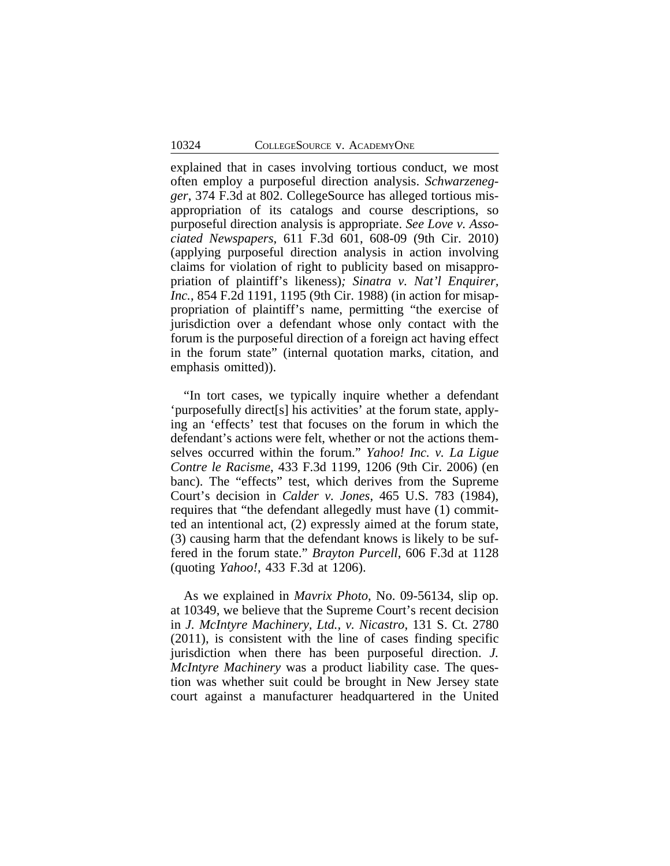explained that in cases involving tortious conduct, we most often employ a purposeful direction analysis. *Schwarzenegger*, 374 F.3d at 802. CollegeSource has alleged tortious misappropriation of its catalogs and course descriptions, so purposeful direction analysis is appropriate. *See Love v. Associated Newspapers*, 611 F.3d 601, 608-09 (9th Cir. 2010) (applying purposeful direction analysis in action involving claims for violation of right to publicity based on misappropriation of plaintiff's likeness)*; Sinatra v. Nat'l Enquirer, Inc.*, 854 F.2d 1191, 1195 (9th Cir. 1988) (in action for misappropriation of plaintiff's name, permitting "the exercise of jurisdiction over a defendant whose only contact with the forum is the purposeful direction of a foreign act having effect in the forum state" (internal quotation marks, citation, and emphasis omitted)).

"In tort cases, we typically inquire whether a defendant 'purposefully direct[s] his activities' at the forum state, applying an 'effects' test that focuses on the forum in which the defendant's actions were felt, whether or not the actions themselves occurred within the forum." *Yahoo! Inc. v. La Ligue Contre le Racisme*, 433 F.3d 1199, 1206 (9th Cir. 2006) (en banc). The "effects" test, which derives from the Supreme Court's decision in *Calder v. Jones*, 465 U.S. 783 (1984), requires that "the defendant allegedly must have (1) committed an intentional act, (2) expressly aimed at the forum state, (3) causing harm that the defendant knows is likely to be suffered in the forum state." *Brayton Purcell*, 606 F.3d at 1128 (quoting *Yahoo!*, 433 F.3d at 1206).

As we explained in *Mavrix Photo*, No. 09-56134, slip op. at 10349, we believe that the Supreme Court's recent decision in *J. McIntyre Machinery, Ltd., v. Nicastro*, 131 S. Ct. 2780 (2011), is consistent with the line of cases finding specific jurisdiction when there has been purposeful direction. *J. McIntyre Machinery* was a product liability case. The question was whether suit could be brought in New Jersey state court against a manufacturer headquartered in the United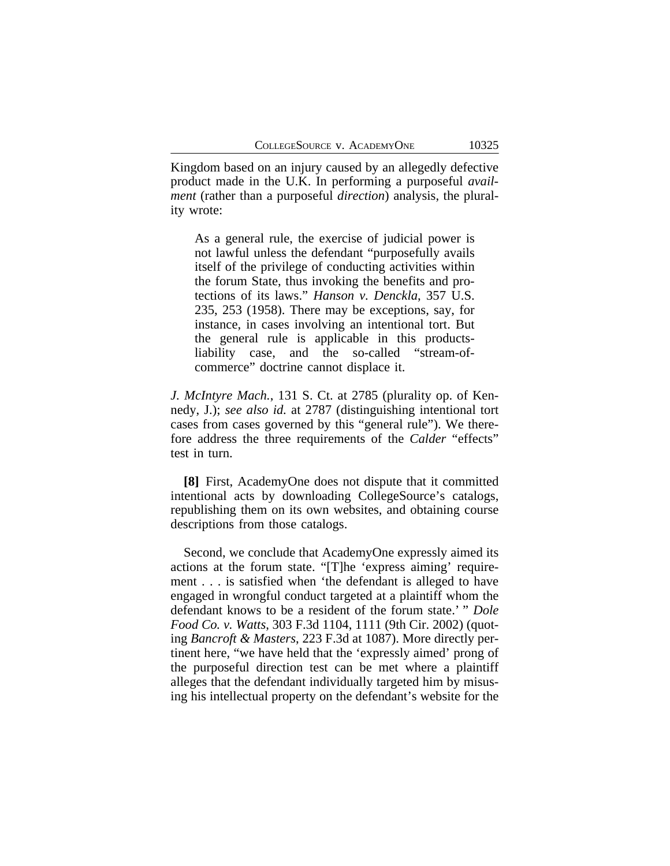Kingdom based on an injury caused by an allegedly defective product made in the U.K. In performing a purposeful *availment* (rather than a purposeful *direction*) analysis, the plurality wrote:

As a general rule, the exercise of judicial power is not lawful unless the defendant "purposefully avails itself of the privilege of conducting activities within the forum State, thus invoking the benefits and protections of its laws." *Hanson v. Denckla*, 357 U.S. 235, 253 (1958). There may be exceptions, say, for instance, in cases involving an intentional tort. But the general rule is applicable in this productsliability case, and the so-called "stream-ofcommerce" doctrine cannot displace it.

*J. McIntyre Mach.*, 131 S. Ct. at 2785 (plurality op. of Kennedy, J.); *see also id.* at 2787 (distinguishing intentional tort cases from cases governed by this "general rule"). We therefore address the three requirements of the *Calder* "effects" test in turn.

**[8]** First, AcademyOne does not dispute that it committed intentional acts by downloading CollegeSource's catalogs, republishing them on its own websites, and obtaining course descriptions from those catalogs.

Second, we conclude that AcademyOne expressly aimed its actions at the forum state. "[T]he 'express aiming' requirement . . . is satisfied when 'the defendant is alleged to have engaged in wrongful conduct targeted at a plaintiff whom the defendant knows to be a resident of the forum state.' " *Dole Food Co. v. Watts*, 303 F.3d 1104, 1111 (9th Cir. 2002) (quoting *Bancroft & Masters*, 223 F.3d at 1087). More directly pertinent here, "we have held that the 'expressly aimed' prong of the purposeful direction test can be met where a plaintiff alleges that the defendant individually targeted him by misusing his intellectual property on the defendant's website for the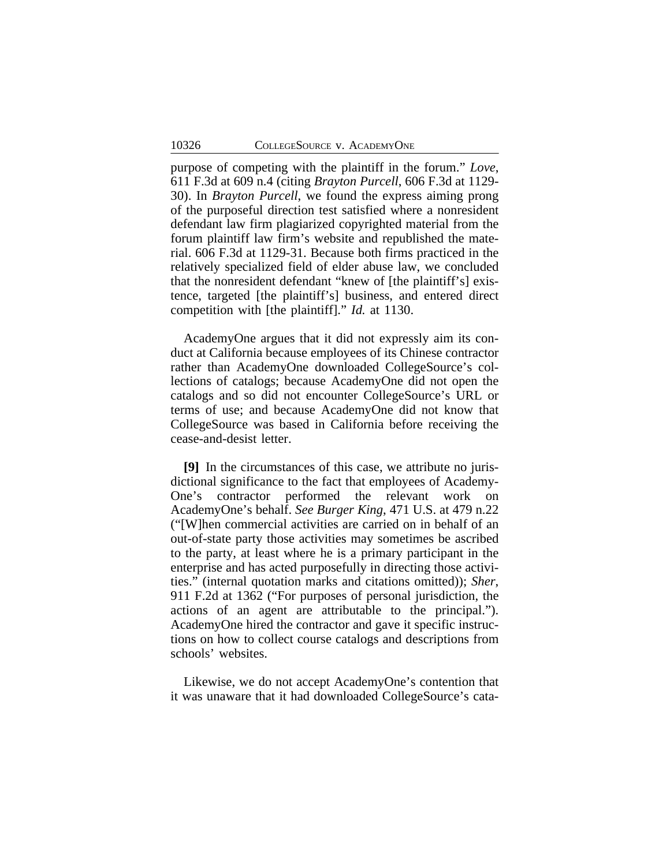purpose of competing with the plaintiff in the forum." *Love*, 611 F.3d at 609 n.4 (citing *Brayton Purcell*, 606 F.3d at 1129- 30). In *Brayton Purcell*, we found the express aiming prong of the purposeful direction test satisfied where a nonresident defendant law firm plagiarized copyrighted material from the forum plaintiff law firm's website and republished the material. 606 F.3d at 1129-31. Because both firms practiced in the relatively specialized field of elder abuse law, we concluded that the nonresident defendant "knew of [the plaintiff's] existence, targeted [the plaintiff's] business, and entered direct competition with [the plaintiff]." *Id.* at 1130.

AcademyOne argues that it did not expressly aim its conduct at California because employees of its Chinese contractor rather than AcademyOne downloaded CollegeSource's collections of catalogs; because AcademyOne did not open the catalogs and so did not encounter CollegeSource's URL or terms of use; and because AcademyOne did not know that CollegeSource was based in California before receiving the cease-and-desist letter.

**[9]** In the circumstances of this case, we attribute no jurisdictional significance to the fact that employees of Academy-One's contractor performed the relevant work on AcademyOne's behalf. *See Burger King*, 471 U.S. at 479 n.22 ("[W]hen commercial activities are carried on in behalf of an out-of-state party those activities may sometimes be ascribed to the party, at least where he is a primary participant in the enterprise and has acted purposefully in directing those activities." (internal quotation marks and citations omitted)); *Sher*, 911 F.2d at 1362 ("For purposes of personal jurisdiction, the actions of an agent are attributable to the principal."). AcademyOne hired the contractor and gave it specific instructions on how to collect course catalogs and descriptions from schools' websites.

Likewise, we do not accept AcademyOne's contention that it was unaware that it had downloaded CollegeSource's cata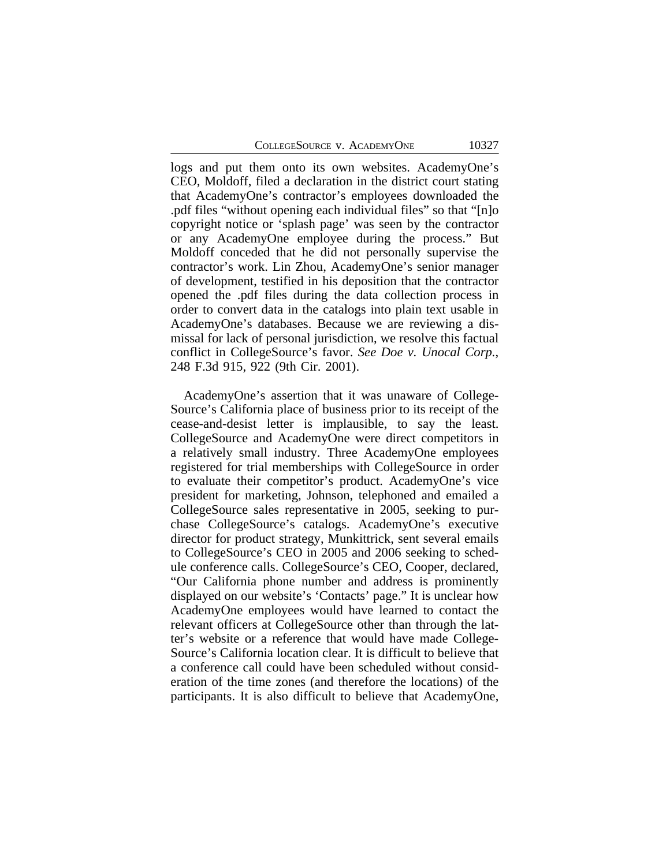logs and put them onto its own websites. AcademyOne's CEO, Moldoff, filed a declaration in the district court stating that AcademyOne's contractor's employees downloaded the .pdf files "without opening each individual files" so that "[n]o copyright notice or 'splash page' was seen by the contractor or any AcademyOne employee during the process." But Moldoff conceded that he did not personally supervise the contractor's work. Lin Zhou, AcademyOne's senior manager of development, testified in his deposition that the contractor opened the .pdf files during the data collection process in order to convert data in the catalogs into plain text usable in AcademyOne's databases. Because we are reviewing a dismissal for lack of personal jurisdiction, we resolve this factual conflict in CollegeSource's favor. *See Doe v. Unocal Corp.*, 248 F.3d 915, 922 (9th Cir. 2001).

AcademyOne's assertion that it was unaware of College-Source's California place of business prior to its receipt of the cease-and-desist letter is implausible, to say the least. CollegeSource and AcademyOne were direct competitors in a relatively small industry. Three AcademyOne employees registered for trial memberships with CollegeSource in order to evaluate their competitor's product. AcademyOne's vice president for marketing, Johnson, telephoned and emailed a CollegeSource sales representative in 2005, seeking to purchase CollegeSource's catalogs. AcademyOne's executive director for product strategy, Munkittrick, sent several emails to CollegeSource's CEO in 2005 and 2006 seeking to schedule conference calls. CollegeSource's CEO, Cooper, declared, "Our California phone number and address is prominently displayed on our website's 'Contacts' page." It is unclear how AcademyOne employees would have learned to contact the relevant officers at CollegeSource other than through the latter's website or a reference that would have made College-Source's California location clear. It is difficult to believe that a conference call could have been scheduled without consideration of the time zones (and therefore the locations) of the participants. It is also difficult to believe that AcademyOne,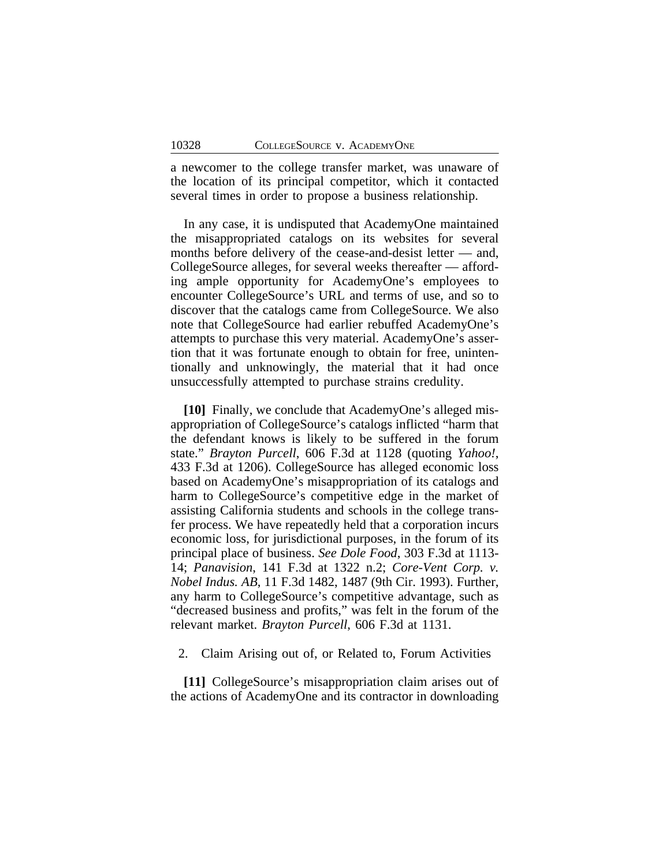a newcomer to the college transfer market, was unaware of the location of its principal competitor, which it contacted several times in order to propose a business relationship.

In any case, it is undisputed that AcademyOne maintained the misappropriated catalogs on its websites for several months before delivery of the cease-and-desist letter — and, CollegeSource alleges, for several weeks thereafter — affording ample opportunity for AcademyOne's employees to encounter CollegeSource's URL and terms of use, and so to discover that the catalogs came from CollegeSource. We also note that CollegeSource had earlier rebuffed AcademyOne's attempts to purchase this very material. AcademyOne's assertion that it was fortunate enough to obtain for free, unintentionally and unknowingly, the material that it had once unsuccessfully attempted to purchase strains credulity.

**[10]** Finally, we conclude that AcademyOne's alleged misappropriation of CollegeSource's catalogs inflicted "harm that the defendant knows is likely to be suffered in the forum state." *Brayton Purcell*, 606 F.3d at 1128 (quoting *Yahoo!*, 433 F.3d at 1206). CollegeSource has alleged economic loss based on AcademyOne's misappropriation of its catalogs and harm to CollegeSource's competitive edge in the market of assisting California students and schools in the college transfer process. We have repeatedly held that a corporation incurs economic loss, for jurisdictional purposes, in the forum of its principal place of business. *See Dole Food*, 303 F.3d at 1113- 14; *Panavision*, 141 F.3d at 1322 n.2; *Core-Vent Corp. v. Nobel Indus. AB*, 11 F.3d 1482, 1487 (9th Cir. 1993). Further, any harm to CollegeSource's competitive advantage, such as "decreased business and profits," was felt in the forum of the relevant market. *Brayton Purcell*, 606 F.3d at 1131.

2. Claim Arising out of, or Related to, Forum Activities

**[11]** CollegeSource's misappropriation claim arises out of the actions of AcademyOne and its contractor in downloading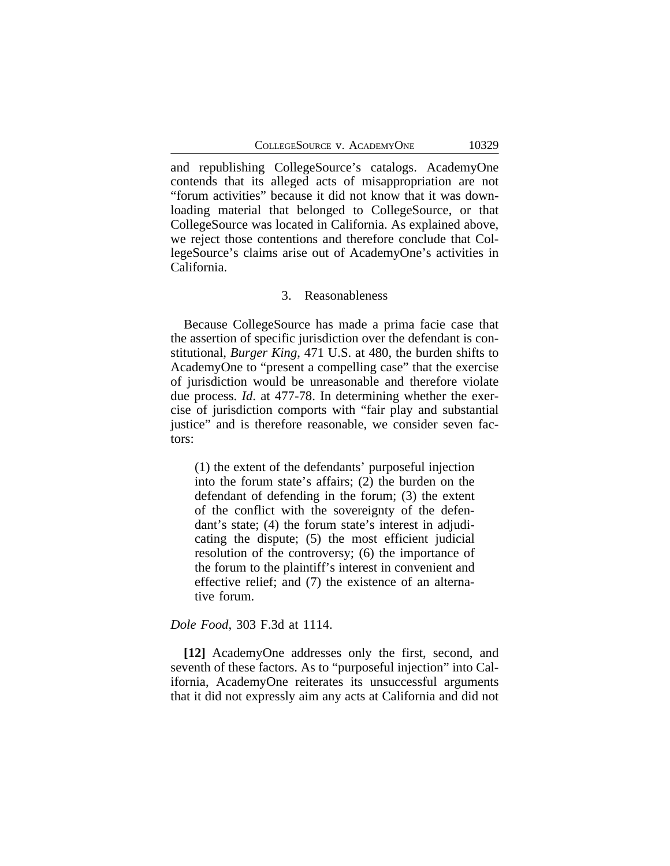and republishing CollegeSource's catalogs. AcademyOne contends that its alleged acts of misappropriation are not "forum activities" because it did not know that it was downloading material that belonged to CollegeSource, or that CollegeSource was located in California. As explained above, we reject those contentions and therefore conclude that CollegeSource's claims arise out of AcademyOne's activities in California.

#### 3. Reasonableness

Because CollegeSource has made a prima facie case that the assertion of specific jurisdiction over the defendant is constitutional, *Burger King*, 471 U.S. at 480, the burden shifts to AcademyOne to "present a compelling case" that the exercise of jurisdiction would be unreasonable and therefore violate due process. *Id*. at 477-78. In determining whether the exercise of jurisdiction comports with "fair play and substantial justice" and is therefore reasonable, we consider seven factors:

(1) the extent of the defendants' purposeful injection into the forum state's affairs; (2) the burden on the defendant of defending in the forum; (3) the extent of the conflict with the sovereignty of the defendant's state; (4) the forum state's interest in adjudicating the dispute; (5) the most efficient judicial resolution of the controversy; (6) the importance of the forum to the plaintiff's interest in convenient and effective relief; and (7) the existence of an alternative forum.

*Dole Food*, 303 F.3d at 1114.

**[12]** AcademyOne addresses only the first, second, and seventh of these factors. As to "purposeful injection" into California, AcademyOne reiterates its unsuccessful arguments that it did not expressly aim any acts at California and did not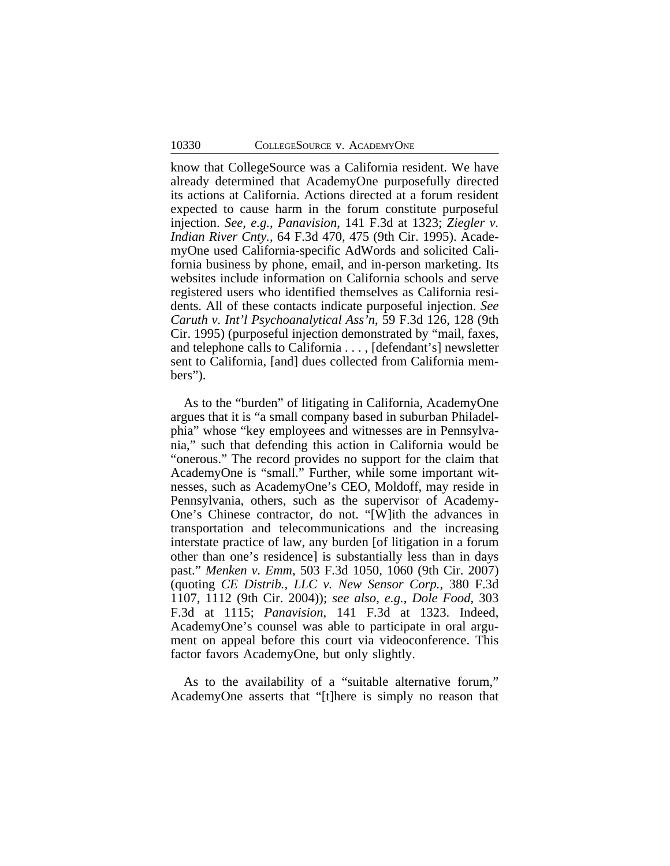know that CollegeSource was a California resident. We have already determined that AcademyOne purposefully directed its actions at California. Actions directed at a forum resident expected to cause harm in the forum constitute purposeful injection. *See, e.g.*, *Panavision*, 141 F.3d at 1323; *Ziegler v. Indian River Cnty.*, 64 F.3d 470, 475 (9th Cir. 1995). AcademyOne used California-specific AdWords and solicited California business by phone, email, and in-person marketing. Its websites include information on California schools and serve registered users who identified themselves as California residents. All of these contacts indicate purposeful injection. *See Caruth v. Int'l Psychoanalytical Ass'n*, 59 F.3d 126, 128 (9th Cir. 1995) (purposeful injection demonstrated by "mail, faxes, and telephone calls to California . . . , [defendant's] newsletter sent to California, [and] dues collected from California members").

As to the "burden" of litigating in California, AcademyOne argues that it is "a small company based in suburban Philadelphia" whose "key employees and witnesses are in Pennsylvania," such that defending this action in California would be "onerous." The record provides no support for the claim that AcademyOne is "small." Further, while some important witnesses, such as AcademyOne's CEO, Moldoff, may reside in Pennsylvania, others, such as the supervisor of Academy-One's Chinese contractor, do not. "[W]ith the advances in transportation and telecommunications and the increasing interstate practice of law, any burden [of litigation in a forum other than one's residence] is substantially less than in days past." *Menken v. Emm*, 503 F.3d 1050, 1060 (9th Cir. 2007) (quoting *CE Distrib., LLC v. New Sensor Corp.*, 380 F.3d 1107, 1112 (9th Cir. 2004)); *see also*, *e.g.*, *Dole Food*, 303 F.3d at 1115; *Panavision*, 141 F.3d at 1323. Indeed, AcademyOne's counsel was able to participate in oral argument on appeal before this court via videoconference. This factor favors AcademyOne, but only slightly.

As to the availability of a "suitable alternative forum," AcademyOne asserts that "[t]here is simply no reason that